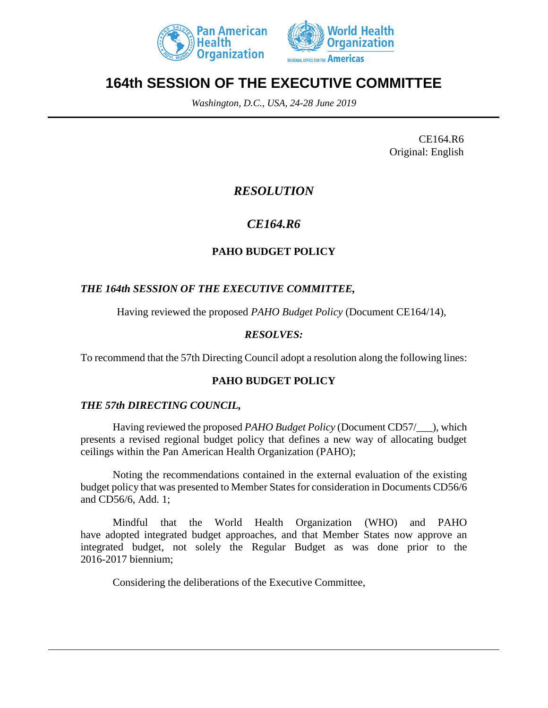



# **164th SESSION OF THE EXECUTIVE COMMITTEE**

*Washington, D.C., USA, 24-28 June 2019*

CE164.R6 Original: English

## *RESOLUTION*

## *CE164.R6*

### **PAHO BUDGET POLICY**

#### *THE 164th SESSION OF THE EXECUTIVE COMMITTEE,*

Having reviewed the proposed *PAHO Budget Policy* (Document CE164/14),

#### *RESOLVES:*

To recommend that the 57th Directing Council adopt a resolution along the following lines:

#### **PAHO BUDGET POLICY**

#### *THE 57th DIRECTING COUNCIL,*

Having reviewed the proposed *PAHO Budget Policy* (Document CD57/\_\_\_), which presents a revised regional budget policy that defines a new way of allocating budget ceilings within the Pan American Health Organization (PAHO);

Noting the recommendations contained in the external evaluation of the existing budget policy that was presented to Member States for consideration in Documents CD56/6 and CD56/6, Add. 1;

Mindful that the World Health Organization (WHO) and PAHO have adopted integrated budget approaches, and that Member States now approve an integrated budget, not solely the Regular Budget as was done prior to the 2016-2017 biennium;

Considering the deliberations of the Executive Committee,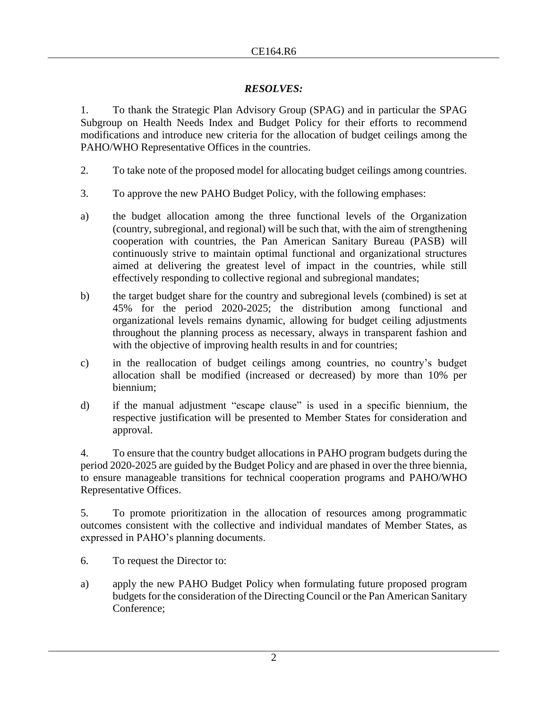#### *RESOLVES:*

1. To thank the Strategic Plan Advisory Group (SPAG) and in particular the SPAG Subgroup on Health Needs Index and Budget Policy for their efforts to recommend modifications and introduce new criteria for the allocation of budget ceilings among the PAHO/WHO Representative Offices in the countries.

- 2. To take note of the proposed model for allocating budget ceilings among countries.
- 3. To approve the new PAHO Budget Policy, with the following emphases:
- a) the budget allocation among the three functional levels of the Organization (country, subregional, and regional) will be such that, with the aim of strengthening cooperation with countries, the Pan American Sanitary Bureau (PASB) will continuously strive to maintain optimal functional and organizational structures aimed at delivering the greatest level of impact in the countries, while still effectively responding to collective regional and subregional mandates;
- b) the target budget share for the country and subregional levels (combined) is set at 45% for the period 2020-2025; the distribution among functional and organizational levels remains dynamic, allowing for budget ceiling adjustments throughout the planning process as necessary, always in transparent fashion and with the objective of improving health results in and for countries;
- c) in the reallocation of budget ceilings among countries, no country's budget allocation shall be modified (increased or decreased) by more than 10% per biennium;
- d) if the manual adjustment "escape clause" is used in a specific biennium, the respective justification will be presented to Member States for consideration and approval.

4. To ensure that the country budget allocations in PAHO program budgets during the period 2020-2025 are guided by the Budget Policy and are phased in over the three biennia, to ensure manageable transitions for technical cooperation programs and PAHO/WHO Representative Offices.

5. To promote prioritization in the allocation of resources among programmatic outcomes consistent with the collective and individual mandates of Member States, as expressed in PAHO's planning documents.

- 6. To request the Director to:
- a) apply the new PAHO Budget Policy when formulating future proposed program budgets for the consideration of the Directing Council or the Pan American Sanitary Conference;